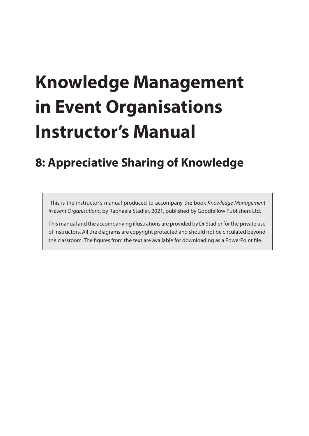# **Knowledge Management in Event Organisations Instructor's Manual**

# **8: Appreciative Sharing of Knowledge**

 This is the instructor's manual produced to accompany the book *Knowledge Management in Event Organisations*, by Raphaela Stadler, 2021, published by Goodfellow Publishers Ltd.

This manual and the accompanying illustrations are provided by Dr Stadler for the private use of instructors. All the diagrams are copyright protected and should not be circulated beyond the classroom. The figures from the text are available for downloading as a PowerPoint file.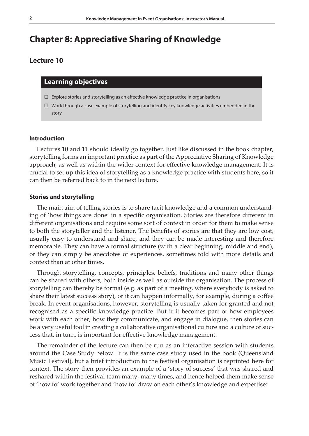# **Chapter 8: Appreciative Sharing of Knowledge**

# **Lecture 10**

# **Learning objectives**

- $\Box$  Explore stories and storytelling as an effective knowledge practice in organisations
- $\Box$  Work through a case example of storytelling and identify key knowledge activities embedded in the story

#### **Introduction**

Lectures 10 and 11 should ideally go together. Just like discussed in the book chapter, storytelling forms an important practice as part of the Appreciative Sharing of Knowledge approach, as well as within the wider context for effective knowledge management. It is crucial to set up this idea of storytelling as a knowledge practice with students here, so it can then be referred back to in the next lecture.

# **Stories and storytelling**

The main aim of telling stories is to share tacit knowledge and a common understanding of 'how things are done' in a specific organisation. Stories are therefore different in different organisations and require some sort of context in order for them to make sense to both the storyteller and the listener. The benefits of stories are that they are low cost, usually easy to understand and share, and they can be made interesting and therefore memorable. They can have a formal structure (with a clear beginning, middle and end), or they can simply be anecdotes of experiences, sometimes told with more details and context than at other times.

Through storytelling, concepts, principles, beliefs, traditions and many other things can be shared with others, both inside as well as outside the organisation. The process of storytelling can thereby be formal (e.g. as part of a meeting, where everybody is asked to share their latest success story), or it can happen informally, for example, during a coffee break. In event organisations, however, storytelling is usually taken for granted and not recognised as a specific knowledge practice. But if it becomes part of how employees work with each other, how they communicate, and engage in dialogue, then stories can be a very useful tool in creating a collaborative organisational culture and a culture of success that, in turn, is important for effective knowledge management.

The remainder of the lecture can then be run as an interactive session with students around the Case Study below. It is the same case study used in the book (Queensland Music Festival), but a brief introduction to the festival organisation is reprinted here for context. The story then provides an example of a 'story of success' that was shared and reshared within the festival team many, many times, and hence helped them make sense of 'how to' work together and 'how to' draw on each other's knowledge and expertise: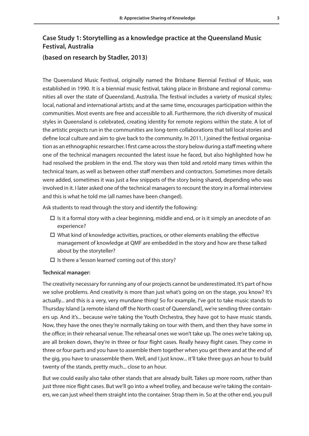# **Case Study 1: Storytelling as a knowledge practice at the Queensland Music Festival, Australia**

# **(based on research by Stadler, 2013)**

The Queensland Music Festival, originally named the Brisbane Biennial Festival of Music, was established in 1990. It is a biennial music festival, taking place in Brisbane and regional communities all over the state of Queensland, Australia. The festival includes a variety of musical styles; local, national and international artists; and at the same time, encourages participation within the communities. Most events are free and accessible to all. Furthermore, the rich diversity of musical styles in Queensland is celebrated, creating identity for remote regions within the state. A lot of the artistic projects run in the communities are long-term collaborations that tell local stories and define local culture and aim to give back to the community. In 2011, I joined the festival organisation as an ethnographic researcher. I first came across the story below during a staff meeting where one of the technical managers recounted the latest issue he faced, but also highlighted how he had resolved the problem in the end. The story was then told and retold many times within the technical team, as well as between other staff members and contractors. Sometimes more details were added, sometimes it was just a few snippets of the story being shared, depending who was involved in it. I later asked one of the technical managers to recount the story in a formal interview and this is what he told me (all names have been changed).

Ask students to read through the story and identify the following:

- $\Box$  Is it a formal story with a clear beginning, middle and end, or is it simply an anecdote of an experience?
- $\Box$  What kind of knowledge activities, practices, or other elements enabling the effective management of knowledge at QMF are embedded in the story and how are these talked about by the storyteller?
- $\square$  Is there a 'lesson learned' coming out of this story?

# **Technical manager:**

The creativity necessary for running any of our projects cannot be underestimated. It's part of how we solve problems. And creativity is more than just what's going on on the stage, you know? It's actually... and this is a very, very mundane thing! So for example, I've got to take music stands to Thursday Island [a remote island off the North coast of Queensland], we're sending three containers up. And it's... because we're taking the Youth Orchestra, they have got to have music stands. Now, they have the ones they're normally taking on tour with them, and then they have some in the office; in their rehearsal venue. The rehearsal ones we won't take up. The ones we're taking up, are all broken down, they're in three or four flight cases. Really heavy flight cases. They come in three or four parts and you have to assemble them together when you get there and at the end of the gig, you have to unassemble them. Well, and I just know... it'll take three guys an hour to build twenty of the stands, pretty much... close to an hour.

But we could easily also take other stands that are already built. Takes up more room, rather than just three nice flight cases. But we'll go into a wheel trolley, and because we're taking the containers, we can just wheel them straight into the container. Strap them in. So at the other end, you pull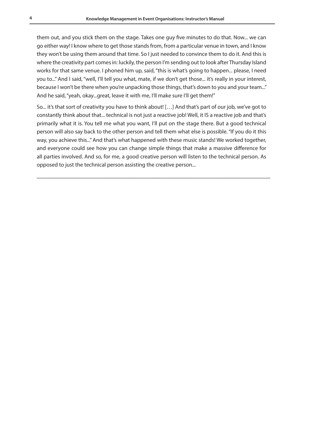them out, and you stick them on the stage. Takes one guy five minutes to do that. Now... we can go either way! I know where to get those stands from, from a particular venue in town, and I know they won't be using them around that time. So I just needed to convince them to do it. And this is where the creativity part comes in: luckily, the person I'm sending out to look after Thursday Island works for that same venue. I phoned him up, said, "this is what's going to happen... please, I need you to..." And I said, "well, I'll tell you what, mate, if we don't get those... it's really in your interest, because I won't be there when you're unpacking those things, that's down to you and your team..." And he said, "yeah, okay...great, leave it with me, I'll make sure I'll get them!"

So... it's that sort of creativity you have to think about! […] And that's part of our job, we've got to constantly think about that... technical is not just a reactive job! Well, it IS a reactive job and that's primarily what it is. You tell me what you want, I'll put on the stage there. But a good technical person will also say back to the other person and tell them what else is possible. "If you do it this way, you achieve this..." And that's what happened with these music stands! We worked together, and everyone could see how you can change simple things that make a massive difference for all parties involved. And so, for me, a good creative person will listen to the technical person. As opposed to just the technical person assisting the creative person...

\_\_\_\_\_\_\_\_\_\_\_\_\_\_\_\_\_\_\_\_\_\_\_\_\_\_\_\_\_\_\_\_\_\_\_\_\_\_\_\_\_\_\_\_\_\_\_\_\_\_\_\_\_\_\_\_\_\_\_\_\_\_\_\_\_\_\_\_\_\_\_\_\_\_\_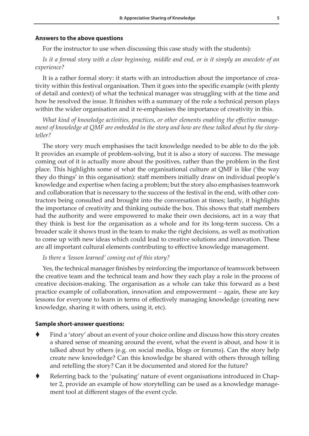#### **Answers to the above questions**

For the instructor to use when discussing this case study with the students):

# *Is it a formal story with a clear beginning, middle and end, or is it simply an anecdote of an experience?*

It is a rather formal story: it starts with an introduction about the importance of creativity within this festival organisation. Then it goes into the specific example (with plenty of detail and context) of what the technical manager was struggling with at the time and how he resolved the issue. It finishes with a summary of the role a technical person plays within the wider organisation and it re-emphasises the importance of creativity in this.

*What kind of knowledge activities, practices, or other elements enabling the effective management of knowledge at QMF are embedded in the story and how are these talked about by the storyteller?*

The story very much emphasises the tacit knowledge needed to be able to do the job. It provides an example of problem-solving, but it is also a story of success. The message coming out of it is actually more about the positives, rather than the problem in the first place. This highlights some of what the organisational culture at QMF is like ('the way they do things' in this organisation): staff members initially draw on individual people's knowledge and expertise when facing a problem; but the story also emphasises teamwork and collaboration that is necessary to the success of the festival in the end, with other contractors being consulted and brought into the conversation at times; lastly, it highlights the importance of creativity and thinking outside the box. This shows that staff members had the authority and were empowered to make their own decisions, act in a way that they think is best for the organisation as a whole and for its long-term success. On a broader scale it shows trust in the team to make the right decisions, as well as motivation to come up with new ideas which could lead to creative solutions and innovation. These are all important cultural elements contributing to effective knowledge management.

## *Is there a 'lesson learned' coming out of this story?*

Yes, the technical manager finishes by reinforcing the importance of teamwork between the creative team and the technical team and how they each play a role in the process of creative decision-making. The organisation as a whole can take this forward as a best practice example of collaboration, innovation and empowerment – again, these are key lessons for everyone to learn in terms of effectively managing knowledge (creating new knowledge, sharing it with others, using it, etc).

#### **Sample short-answer questions:**

- Find a 'story' about an event of your choice online and discuss how this story creates a shared sense of meaning around the event, what the event is about, and how it is talked about by others (e.g. on social media, blogs or forums). Can the story help create new knowledge? Can this knowledge be shared with others through telling and retelling the story? Can it be documented and stored for the future?
- Referring back to the 'pulsating' nature of event organisations introduced in Chapter 2, provide an example of how storytelling can be used as a knowledge management tool at different stages of the event cycle.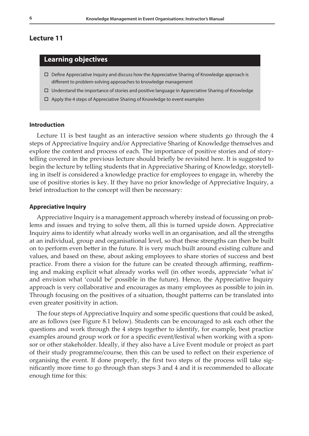#### **Lecture 11**

# **Learning objectives**

- Define Appreciative Inquiry and discuss how the Appreciative Sharing of Knowledge approach is different to problem-solving approaches to knowledge management
- $\Box$  Understand the importance of stories and positive language in Appreciative Sharing of Knowledge
- $\Box$  Apply the 4 steps of Appreciative Sharing of Knowledge to event examples

#### **Introduction**

Lecture 11 is best taught as an interactive session where students go through the 4 steps of Appreciative Inquiry and/or Appreciative Sharing of Knowledge themselves and explore the content and process of each. The importance of positive stories and of storytelling covered in the previous lecture should briefly be revisited here. It is suggested to begin the lecture by telling students that in Appreciative Sharing of Knowledge, storytelling in itself is considered a knowledge practice for employees to engage in, whereby the use of positive stories is key. If they have no prior knowledge of Appreciative Inquiry, a brief introduction to the concept will then be necessary:

#### **Appreciative Inquiry**

Appreciative Inquiry is a management approach whereby instead of focussing on problems and issues and trying to solve them, all this is turned upside down. Appreciative Inquiry aims to identify what already works well in an organisation, and all the strengths at an individual, group and organisational level, so that these strengths can then be built on to perform even better in the future. It is very much built around existing culture and values, and based on these, about asking employees to share stories of success and best practice. From there a vision for the future can be created through affirming, reaffirming and making explicit what already works well (in other words, appreciate 'what is' and envision what 'could be' possible in the future). Hence, the Appreciative Inquiry approach is very collaborative and encourages as many employees as possible to join in. Through focusing on the positives of a situation, thought patterns can be translated into even greater positivity in action.

The four steps of Appreciative Inquiry and some specific questions that could be asked, are as follows (see Figure 8.1 below). Students can be encouraged to ask each other the questions and work through the 4 steps together to identify, for example, best practice examples around group work or for a specific event/festival when working with a sponsor or other stakeholder. Ideally, if they also have a Live Event module or project as part of their study programme/course, then this can be used to reflect on their experience of organising the event. If done properly, the first two steps of the process will take significantly more time to go through than steps 3 and 4 and it is recommended to allocate enough time for this: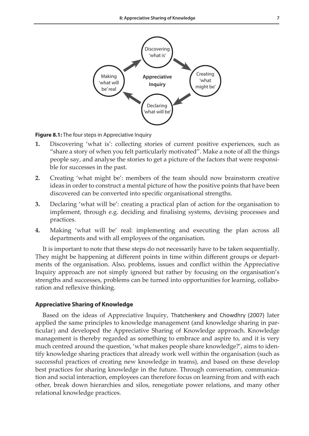

**Figure 8.1:** The four steps in Appreciative Inquiry

- **1.** Discovering 'what is': collecting stories of current positive experiences, such as "share a story of when you felt particularly motivated". Make a note of all the things people say, and analyse the stories to get a picture of the factors that were responsible for successes in the past.
- **2.** Creating 'what might be': members of the team should now brainstorm creative ideas in order to construct a mental picture of how the positive points that have been discovered can be converted into specific organisational strengths.
- **3.** Declaring 'what will be': creating a practical plan of action for the organisation to implement, through e.g. deciding and finalising systems, devising processes and practices.
- **4.** Making 'what will be' real: implementing and executing the plan across all departments and with all employees of the organisation.

It is important to note that these steps do not necessarily have to be taken sequentially. They might be happening at different points in time within different groups or departments of the organisation. Also, problems, issues and conflict within the Appreciative Inquiry approach are not simply ignored but rather by focusing on the organisation's strengths and successes, problems can be turned into opportunities for learning, collaboration and reflexive thinking.

# **Appreciative Sharing of Knowledge**

Based on the ideas of Appreciative Inquiry, Thatchenkery and Chowdhry (2007) later applied the same principles to knowledge management (and knowledge sharing in particular) and developed the Appreciative Sharing of Knowledge approach. Knowledge management is thereby regarded as something to embrace and aspire to, and it is very much centred around the question, 'what makes people share knowledge?', aims to identify knowledge sharing practices that already work well within the organisation (such as successful practices of creating new knowledge in teams), and based on these develop best practices for sharing knowledge in the future. Through conversation, communication and social interaction, employees can therefore focus on learning from and with each other, break down hierarchies and silos, renegotiate power relations, and many other relational knowledge practices.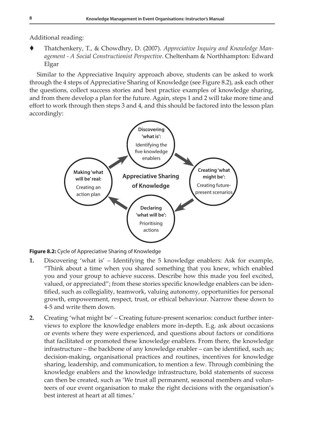Additional reading:

 Thatchenkery, T., & Chowdhry, D. (2007). *Appreciative Inquiry and Knowledge Management - A Social Constructionist Perspective*. Cheltenham & Northhampton: Edward Elgar

Similar to the Appreciative Inquiry approach above, students can be asked to work through the 4 steps of Appreciative Sharing of Knowledge (see Figure 8.2), ask each other the questions, collect success stories and best practice examples of knowledge sharing, and from there develop a plan for the future. Again, steps 1 and 2 will take more time and effort to work through then steps 3 and 4, and this should be factored into the lesson plan accordingly:





- **1.** Discovering 'what is' Identifying the 5 knowledge enablers: Ask for example, "Think about a time when you shared something that you knew, which enabled you and your group to achieve success. Describe how this made you feel excited, valued, or appreciated"; from these stories specific knowledge enablers can be identified, such as collegiality, teamwork, valuing autonomy, opportunities for personal growth, empowerment, respect, trust, or ethical behaviour. Narrow these down to 4-5 and write them down.
- **2.** Creating 'what might be' Creating future-present scenarios: conduct further interviews to explore the knowledge enablers more in-depth. E.g. ask about occasions or events where they were experienced, and questions about factors or conditions that facilitated or promoted these knowledge enablers. From there, the knowledge infrastructure – the backbone of any knowledge enabler – can be identified, such as; decision-making, organisational practices and routines, incentives for knowledge sharing, leadership, and communication, to mention a few. Through combining the knowledge enablers and the knowledge infrastructure, bold statements of success can then be created, such as 'We trust all permanent, seasonal members and volunteers of our event organisation to make the right decisions with the organisation's best interest at heart at all times.'